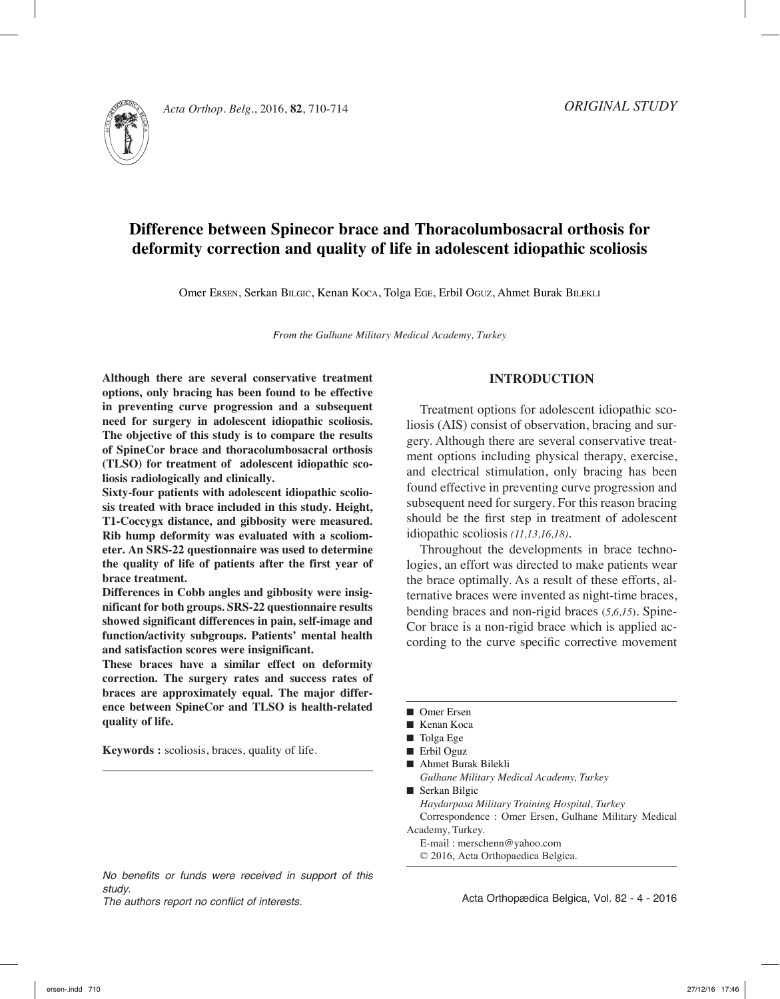



Acta Orthop. Belg., 2016, **82**, 710-714

# **Difference between Spinecor brace and Thoracolumbosacral orthosis for deformity correction and quality of life in adolescent idiopathic scoliosis**

Omer Ersen, Serkan Bilgic, Kenan Koca, Tolga Ege, Erbil Oguz, Ahmet Burak Bilekli

*From the Gulhane Military Medical Academy, Turkey*

**Although there are several conservative treatment options, only bracing has been found to be effective in preventing curve progression and a subsequent need for surgery in adolescent idiopathic scoliosis. The objective of this study is to compare the results of SpineCor brace and thoracolumbosacral orthosis (TLSO) for treatment of adolescent idiopathic scoliosis radiologically and clinically.** 

**Sixty-four patients with adolescent idiopathic scoliosis treated with brace included in this study. Height, T1-Coccygx distance, and gibbosity were measured. Rib hump deformity was evaluated with a scoliometer. An SRS-22 questionnaire was used to determine the quality of life of patients after the first year of brace treatment.** 

**Differences in Cobb angles and gibbosity were insignificant for both groups. SRS-22 questionnaire results showed significant differences in pain, self-image and function/activity subgroups. Patients' mental health and satisfaction scores were insignificant.**

**These braces have a similar effect on deformity correction. The surgery rates and success rates of braces are approximately equal. The major difference between SpineCor and TLSO is health-related quality of life.**

**Keywords :** scoliosis, braces, quality of life.

*No benefits or funds were received in support of this study. The authors report no conflict of interests.* 

## **Introduction**

Treatment options for adolescent idiopathic scoliosis (AIS) consist of observation, bracing and surgery. Although there are several conservative treatment options including physical therapy, exercise, and electrical stimulation, only bracing has been found effective in preventing curve progression and subsequent need for surgery. For this reason bracing should be the first step in treatment of adolescent idiopathic scoliosis *(11,13,16,18)*.

Throughout the developments in brace technologies, an effort was directed to make patients wear the brace optimally. As a result of these efforts, alternative braces were invented as night-time braces, bending braces and non-rigid braces (*5,6,15*). Spine-Cor brace is a non-rigid brace which is applied according to the curve specific corrective movement

- Omer Ersen
- $\blacksquare$  Kenan Koca
- Tolga Ege
- $\blacksquare$  Erbil Oguz
- Ahmet Burak Bilekli *Gulhane Military Medical Academy, Turkey*
- $\blacksquare$  Serkan Bilgic *Haydarpasa Military Training Hospital, Turkey* Correspondence : Omer Ersen, Gulhane Military Medical
- Academy, Turkey.
	- E-mail : merschenn@yahoo.com
	- © 2016, Acta Orthopaedica Belgica.

Acta Orthopædica Belgica, Vol. 82 - 4 - 2016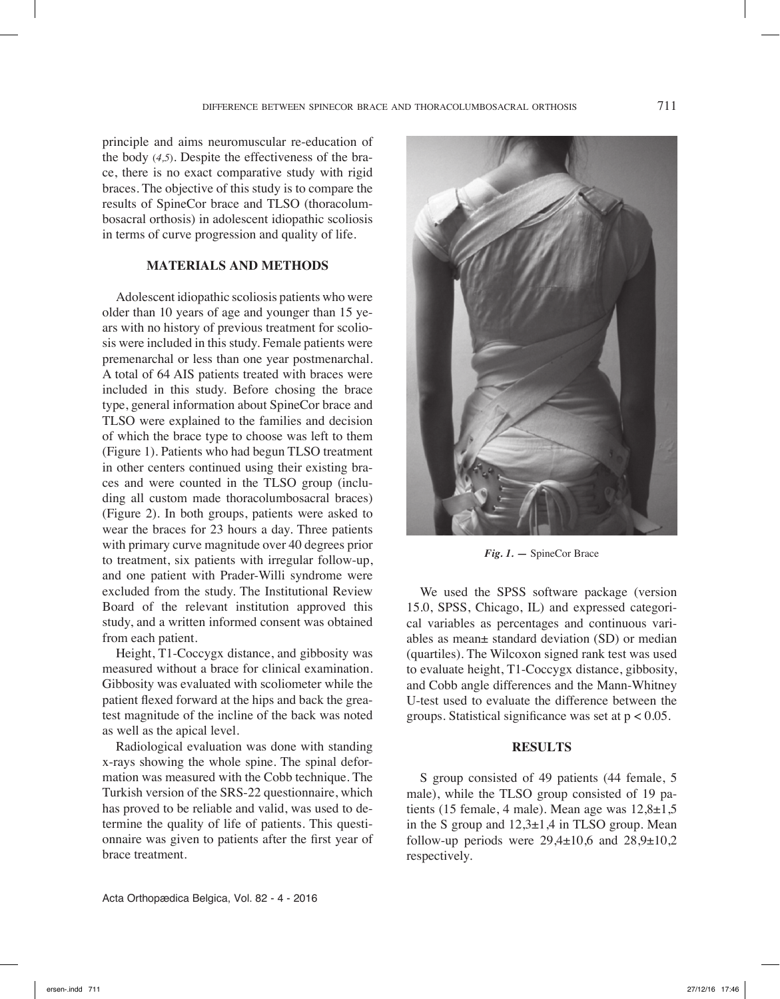principle and aims neuromuscular re-education of the body (*4,5*). Despite the effectiveness of the brace, there is no exact comparative study with rigid braces. The objective of this study is to compare the results of SpineCor brace and TLSO (thoracolumbosacral orthosis) in adolescent idiopathic scoliosis in terms of curve progression and quality of life.

## **Materials and Methods**

Adolescent idiopathic scoliosis patients who were older than 10 years of age and younger than 15 years with no history of previous treatment for scoliosis were included in this study. Female patients were premenarchal or less than one year postmenarchal. A total of 64 AIS patients treated with braces were included in this study. Before chosing the brace type, general information about SpineCor brace and TLSO were explained to the families and decision of which the brace type to choose was left to them (Figure 1). Patients who had begun TLSO treatment in other centers continued using their existing braces and were counted in the TLSO group (including all custom made thoracolumbosacral braces) (Figure 2). In both groups, patients were asked to wear the braces for 23 hours a day. Three patients with primary curve magnitude over 40 degrees prior to treatment, six patients with irregular follow-up, and one patient with Prader-Willi syndrome were excluded from the study. The Institutional Review Board of the relevant institution approved this study, and a written informed consent was obtained from each patient.

Height, T1-Coccygx distance, and gibbosity was measured without a brace for clinical examination. Gibbosity was evaluated with scoliometer while the patient flexed forward at the hips and back the greatest magnitude of the incline of the back was noted as well as the apical level.

Radiological evaluation was done with standing x-rays showing the whole spine. The spinal deformation was measured with the Cobb technique. The Turkish version of the SRS-22 questionnaire, which has proved to be reliable and valid, was used to determine the quality of life of patients. This questionnaire was given to patients after the first year of brace treatment.



*Fig. 1. —* SpineCor Brace

We used the SPSS software package (version 15.0, SPSS, Chicago, IL) and expressed categorical variables as percentages and continuous variables as mean± standard deviation (SD) or median (quartiles). The Wilcoxon signed rank test was used to evaluate height, T1-Coccygx distance, gibbosity, and Cobb angle differences and the Mann-Whitney U-test used to evaluate the difference between the groups. Statistical significance was set at  $p < 0.05$ .

## **Results**

S group consisted of 49 patients (44 female, 5 male), while the TLSO group consisted of 19 patients (15 female, 4 male). Mean age was  $12,8 \pm 1,5$ in the S group and  $12,3\pm1,4$  in TLSO group. Mean follow-up periods were  $29,4\pm10,6$  and  $28,9\pm10,2$ respectively.

Acta Orthopædica Belgica, Vol. 82 - 4 - 2016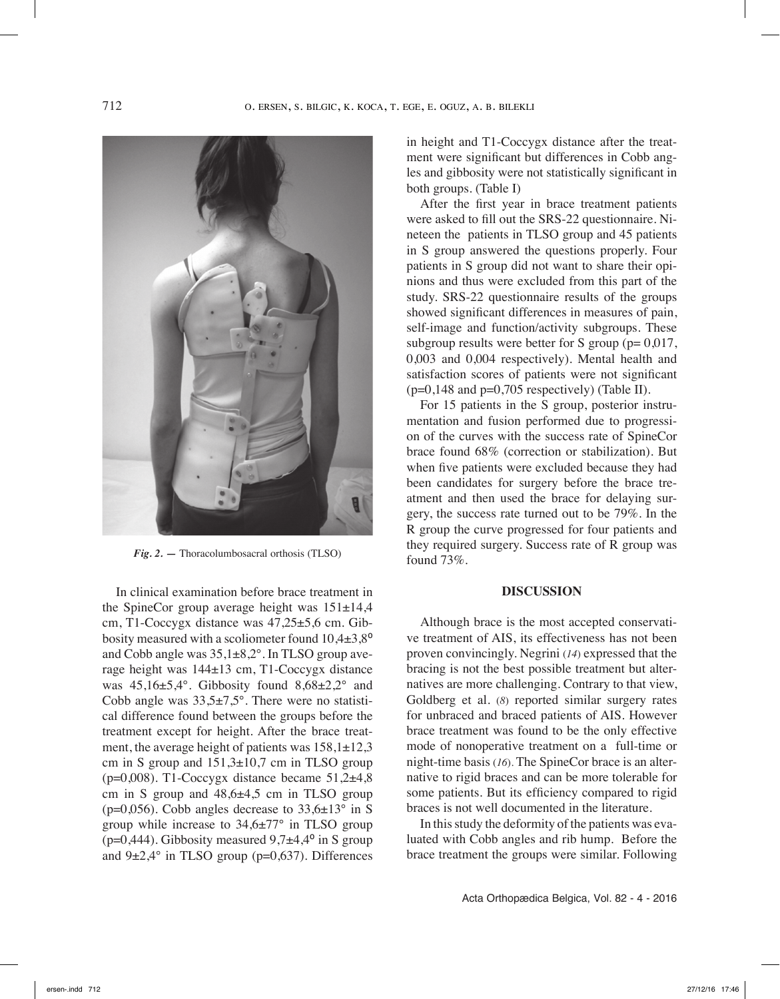

*Fig. 2. —* Thoracolumbosacral orthosis (TLSO)

In clinical examination before brace treatment in the SpineCor group average height was 151±14,4 cm, T1-Coccygx distance was 47,25±5,6 cm. Gibbosity measured with a scoliometer found  $10,4\pm3,8^{\circ}$ and Cobb angle was 35,1±8,2°. In TLSO group average height was 144±13 cm, T1-Coccygx distance was  $45,16\pm5,4^{\circ}$ . Gibbosity found  $8,68\pm2,2^{\circ}$  and Cobb angle was  $33,5\pm7,5^{\circ}$ . There were no statistical difference found between the groups before the treatment except for height. After the brace treatment, the average height of patients was  $158,1\pm12,3$ cm in S group and  $151,3\pm10,7$  cm in TLSO group ( $p=0,008$ ). T1-Coccygx distance became 51,2 $\pm$ 4,8 cm in S group and  $48,6\pm4,5$  cm in TLSO group (p=0,056). Cobb angles decrease to  $33,6\pm13^{\circ}$  in S group while increase to 34,6±77° in TLSO group ( $p=0,444$ ). Gibbosity measured  $9,7\pm4,4^{\circ}$  in S group and  $9\pm2,4^{\circ}$  in TLSO group (p=0,637). Differences

in height and T1-Coccygx distance after the treatment were significant but differences in Cobb angles and gibbosity were not statistically significant in both groups. (Table I)

After the first year in brace treatment patients were asked to fill out the SRS-22 questionnaire. Nineteen the patients in TLSO group and 45 patients in S group answered the questions properly. Four patients in S group did not want to share their opinions and thus were excluded from this part of the study. SRS-22 questionnaire results of the groups showed significant differences in measures of pain, self-image and function/activity subgroups. These subgroup results were better for S group ( $p= 0.017$ , 0,003 and 0,004 respectively). Mental health and satisfaction scores of patients were not significant  $(p=0,148$  and  $p=0,705$  respectively) (Table II).

For 15 patients in the S group, posterior instrumentation and fusion performed due to progression of the curves with the success rate of SpineCor brace found 68% (correction or stabilization). But when five patients were excluded because they had been candidates for surgery before the brace treatment and then used the brace for delaying surgery, the success rate turned out to be 79%. In the R group the curve progressed for four patients and they required surgery. Success rate of R group was found 73%.

### **Discussion**

Although brace is the most accepted conservative treatment of AIS, its effectiveness has not been proven convincingly. Negrini (*14*) expressed that the bracing is not the best possible treatment but alternatives are more challenging. Contrary to that view, Goldberg et al. (*8*) reported similar surgery rates for unbraced and braced patients of AIS. However brace treatment was found to be the only effective mode of nonoperative treatment on a full-time or night-time basis (*16*). The SpineCor brace is an alternative to rigid braces and can be more tolerable for some patients. But its efficiency compared to rigid braces is not well documented in the literature.

In this study the deformity of the patients was evaluated with Cobb angles and rib hump. Before the brace treatment the groups were similar. Following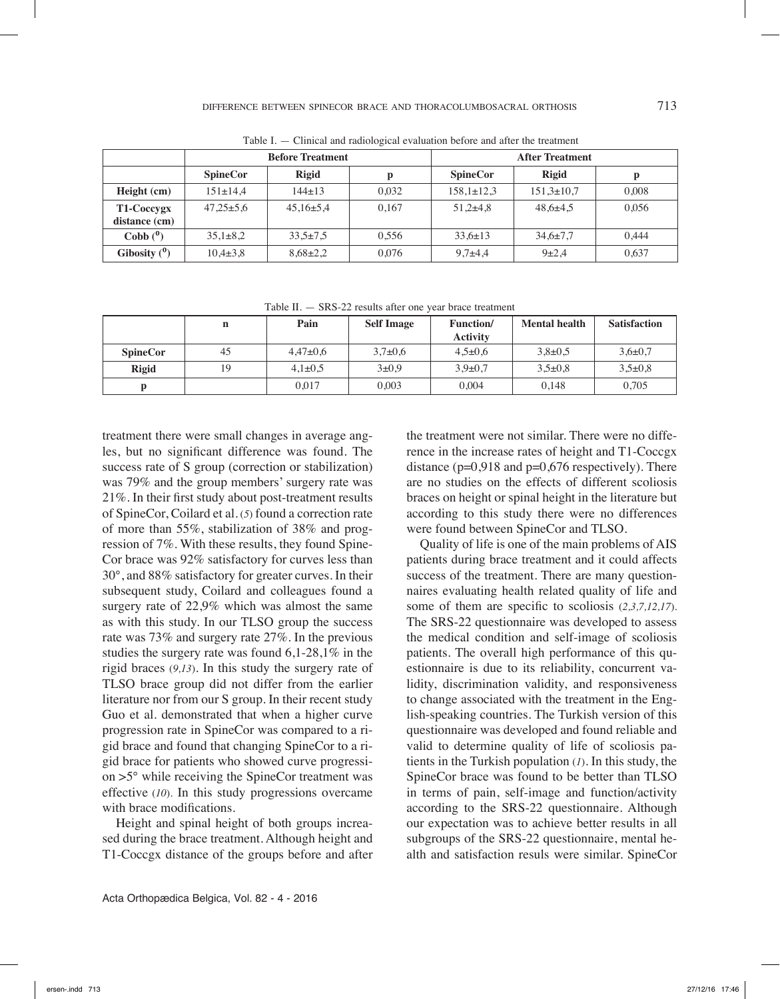|                   | <b>Before Treatment</b> |                 |       | <b>After Treatment</b> |                  |       |
|-------------------|-------------------------|-----------------|-------|------------------------|------------------|-------|
|                   | <b>SpineCor</b>         | <b>Rigid</b>    |       | <b>SpineCor</b>        | <b>Rigid</b>     |       |
| Height (cm)       | $151 \pm 14.4$          | $144+13$        | 0.032 | $158,1 \pm 12,3$       | $151,3 \pm 10,7$ | 0.008 |
| T1-Coccygx        | $47.25 \pm 5.6$         | $45.16 \pm 5.4$ | 0.167 | $51,2+4,8$             | $48.6 \pm 4.5$   | 0.056 |
| distance (cm)     |                         |                 |       |                        |                  |       |
| Cobb <sup>0</sup> | $35,1\pm8,2$            | $33.5 \pm 7.5$  | 0.556 | $33.6 \pm 13$          | $34.6 \pm 7.7$   | 0.444 |
| Gibosity $(0)$    | $10,4{\pm}3,8$          | $8,68\pm2,2$    | 0.076 | $9,7+4,4$              | $9 + 2.4$        | 0.637 |

Table I. — Clinical and radiological evaluation before and after the treatment

Table II. — SRS-22 results after one year brace treatment

|                 | n  | Pain         | <b>Self Image</b> | <b>Function</b> /<br><b>Activity</b> | <b>Mental health</b> | <b>Satisfaction</b> |
|-----------------|----|--------------|-------------------|--------------------------------------|----------------------|---------------------|
| <b>SpineCor</b> | 45 | $4,47\pm0.6$ | $3,7\pm0.6$       | $4.5 \pm 0.6$                        | $3,8 \pm 0.5$        | $3,6 \pm 0.7$       |
| <b>Rigid</b>    | 19 | $4,1\pm0.5$  | $3 \pm 0.9$       | $3.9 \pm 0.7$                        | $3,5\pm0.8$          | $3,5\pm0,8$         |
|                 |    | 0.017        | 0.003             | 0.004                                | 0.148                | 0.705               |

treatment there were small changes in average angles, but no significant difference was found. The success rate of S group (correction or stabilization) was 79% and the group members' surgery rate was 21%. In their first study about post-treatment results of SpineCor, Coilard et al. (*5*) found a correction rate of more than 55%, stabilization of 38% and progression of 7%. With these results, they found Spine-Cor brace was 92% satisfactory for curves less than 30°, and 88% satisfactory for greater curves. In their subsequent study, Coilard and colleagues found a surgery rate of 22,9% which was almost the same as with this study. In our TLSO group the success rate was 73% and surgery rate 27%. In the previous studies the surgery rate was found 6,1-28,1% in the rigid braces (*9,13*). In this study the surgery rate of TLSO brace group did not differ from the earlier literature nor from our S group. In their recent study Guo et al. demonstrated that when a higher curve progression rate in SpineCor was compared to a rigid brace and found that changing SpineCor to a rigid brace for patients who showed curve progression >5° while receiving the SpineCor treatment was effective (*10*). In this study progressions overcame with brace modifications.

Height and spinal height of both groups increased during the brace treatment. Although height and T1-Coccgx distance of the groups before and after

the treatment were not similar. There were no difference in the increase rates of height and T1-Coccgx distance (p=0,918 and p=0,676 respectively). There are no studies on the effects of different scoliosis braces on height or spinal height in the literature but according to this study there were no differences were found between SpineCor and TLSO.

Quality of life is one of the main problems of AIS patients during brace treatment and it could affects success of the treatment. There are many questionnaires evaluating health related quality of life and some of them are specific to scoliosis (*2,3,7,12,17*). The SRS-22 questionnaire was developed to assess the medical condition and self-image of scoliosis patients. The overall high performance of this questionnaire is due to its reliability, concurrent validity, discrimination validity, and responsiveness to change associated with the treatment in the English-speaking countries. The Turkish version of this questionnaire was developed and found reliable and valid to determine quality of life of scoliosis patients in the Turkish population (*1*). In this study, the SpineCor brace was found to be better than TLSO in terms of pain, self-image and function/activity according to the SRS-22 questionnaire. Although our expectation was to achieve better results in all subgroups of the SRS-22 questionnaire, mental health and satisfaction resuls were similar. SpineCor